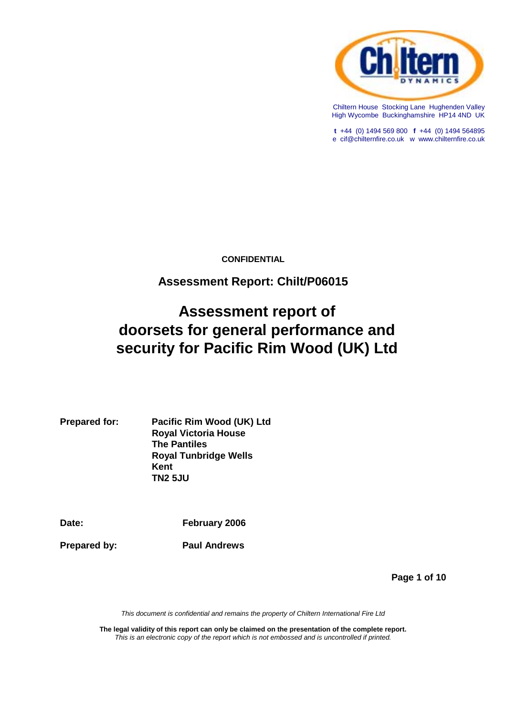

Chiltern House Stocking Lane Hughenden Valley High Wycombe Buckinghamshire HP14 4ND UK

**t** +44 (0) 1494 569 800 **f** +44 (0) 1494 564895 e cif@chilternfire.co.uk w www.chilternfire.co.uk

**CONFIDENTIAL**

# **Assessment Report: Chilt/P06015**

# **Assessment report of doorsets for general performance and security for Pacific Rim Wood (UK) Ltd**

**Prepared for: Pacific Rim Wood (UK) Ltd Royal Victoria House The Pantiles Royal Tunbridge Wells Kent TN2 5JU**

**Date: February 2006**

**Prepared by:** Paul Andrews

**Page 1 of 10**

*This document is confidential and remains the property of Chiltern International Fire Ltd*

**The legal validity of this report can only be claimed on the presentation of the complete report.** *This is an electronic copy of the report which is not embossed and is uncontrolled if printed.*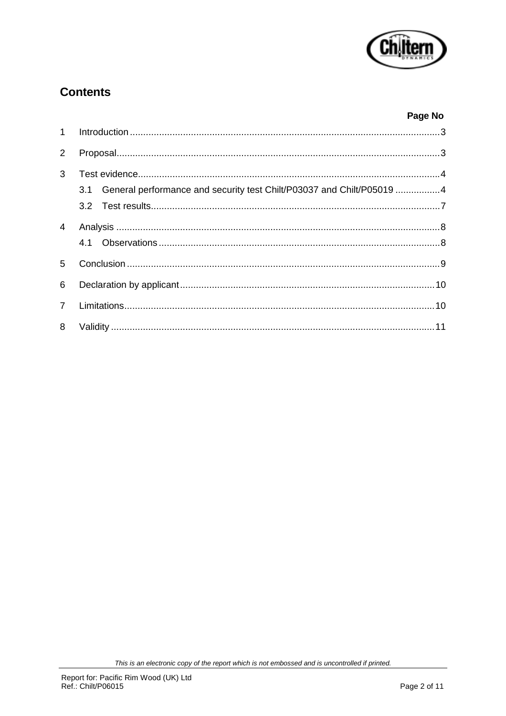

# **Contents**

### Page No

| $\overline{2}$ |                                                                              |  |
|----------------|------------------------------------------------------------------------------|--|
| 3              |                                                                              |  |
|                | General performance and security test Chilt/P03037 and Chilt/P05019 4<br>3.1 |  |
|                |                                                                              |  |
| $\overline{4}$ |                                                                              |  |
|                |                                                                              |  |
| 5              |                                                                              |  |
| 6              |                                                                              |  |
| $7^{\circ}$    |                                                                              |  |
| 8              |                                                                              |  |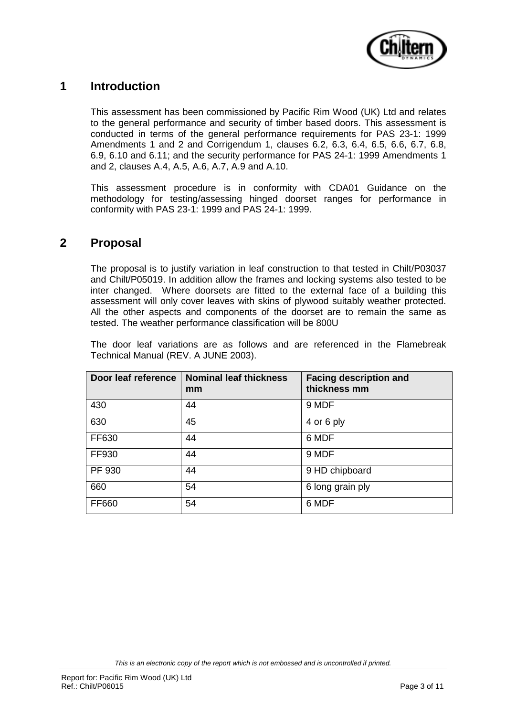

# **1 Introduction**

This assessment has been commissioned by Pacific Rim Wood (UK) Ltd and relates to the general performance and security of timber based doors. This assessment is conducted in terms of the general performance requirements for PAS 23-1: 1999 Amendments 1 and 2 and Corrigendum 1, clauses 6.2, 6.3, 6.4, 6.5, 6.6, 6.7, 6.8, 6.9, 6.10 and 6.11; and the security performance for PAS 24-1: 1999 Amendments 1 and 2, clauses A.4, A.5, A.6, A.7, A.9 and A.10.

This assessment procedure is in conformity with CDA01 Guidance on the methodology for testing/assessing hinged doorset ranges for performance in conformity with PAS 23-1: 1999 and PAS 24-1: 1999.

### **2 Proposal**

The proposal is to justify variation in leaf construction to that tested in Chilt/P03037 and Chilt/P05019. In addition allow the frames and locking systems also tested to be inter changed. Where doorsets are fitted to the external face of a building this assessment will only cover leaves with skins of plywood suitably weather protected. All the other aspects and components of the doorset are to remain the same as tested. The weather performance classification will be 800U

The door leaf variations are as follows and are referenced in the Flamebreak Technical Manual (REV. A JUNE 2003).

| Door leaf reference | <b>Nominal leaf thickness</b><br>mm | <b>Facing description and</b><br>thickness mm |
|---------------------|-------------------------------------|-----------------------------------------------|
| 430                 | 44                                  | 9 MDF                                         |
| 630                 | 45                                  | 4 or 6 ply                                    |
| FF630               | 44                                  | 6 MDF                                         |
| FF930               | 44                                  | 9 MDF                                         |
| PF 930              | 44                                  | 9 HD chipboard                                |
| 660                 | 54                                  | 6 long grain ply                              |
| FF660               | 54                                  | 6 MDF                                         |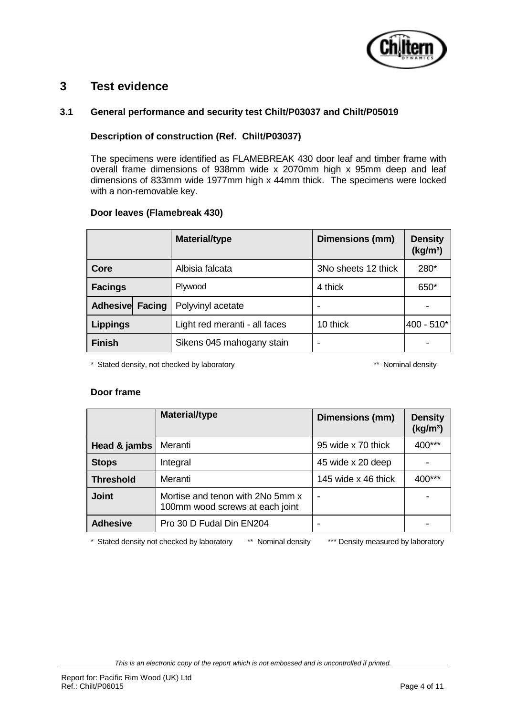

### **3 Test evidence**

#### **3.1 General performance and security test Chilt/P03037 and Chilt/P05019**

### **Description of construction (Ref. Chilt/P03037)**

The specimens were identified as FLAMEBREAK 430 door leaf and timber frame with overall frame dimensions of 938mm wide x 2070mm high x 95mm deep and leaf dimensions of 833mm wide 1977mm high x 44mm thick. The specimens were locked with a non-removable key.

#### **Door leaves (Flamebreak 430)**

|                 | <b>Material/type</b>          | Dimensions (mm)     | <b>Density</b><br>(kg/m <sup>3</sup> ) |
|-----------------|-------------------------------|---------------------|----------------------------------------|
| Core            | Albisia falcata               | 3No sheets 12 thick | 280*                                   |
| <b>Facings</b>  | Plywood                       | 4 thick             | 650*                                   |
| Adhesive Facing | Polyvinyl acetate             |                     |                                        |
| <b>Lippings</b> | Light red meranti - all faces | 10 thick            | $400 - 510*$                           |
| <b>Finish</b>   | Sikens 045 mahogany stain     |                     |                                        |

\* Stated density, not checked by laboratory \*\* Nominal density

#### **Door frame**

|                  | <b>Material/type</b>                                                | Dimensions (mm)     | <b>Density</b><br>(kg/m <sup>3</sup> ) |
|------------------|---------------------------------------------------------------------|---------------------|----------------------------------------|
| Head & jambs     | Meranti                                                             | 95 wide x 70 thick  | 400***                                 |
| <b>Stops</b>     | Integral                                                            | 45 wide x 20 deep   |                                        |
| <b>Threshold</b> | Meranti                                                             | 145 wide x 46 thick | 400***                                 |
| <b>Joint</b>     | Mortise and tenon with 2No 5mm x<br>100mm wood screws at each joint | ٠                   |                                        |
| <b>Adhesive</b>  | Pro 30 D Fudal Din EN204                                            |                     |                                        |

\* Stated density not checked by laboratory \*\* Nominal density \*\*\* Density measured by laboratory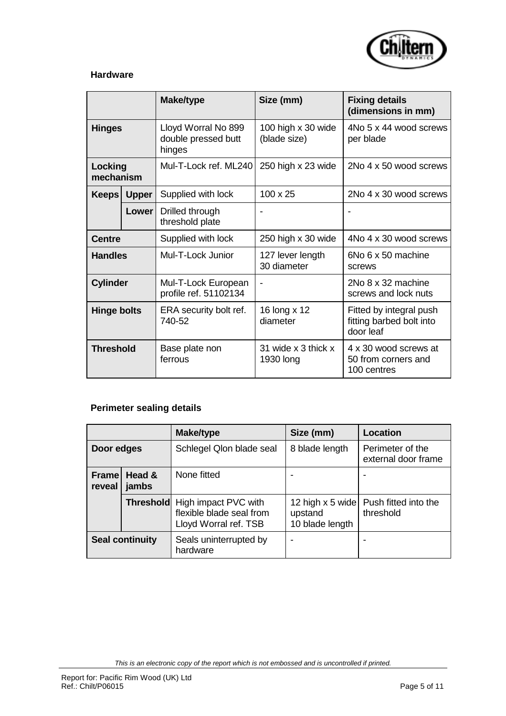

#### **Hardware**

|                      |             | <b>Make/type</b>                                     | Size (mm)                          | <b>Fixing details</b><br>(dimensions in mm)                      |
|----------------------|-------------|------------------------------------------------------|------------------------------------|------------------------------------------------------------------|
| <b>Hinges</b>        |             | Lloyd Worral No 899<br>double pressed butt<br>hinges | 100 high x 30 wide<br>(blade size) | 4No 5 x 44 wood screws<br>per blade                              |
| Locking<br>mechanism |             | Mul-T-Lock ref. ML240                                | 250 high x 23 wide                 | 2No 4 x 50 wood screws                                           |
|                      | Keeps Upper | Supplied with lock                                   | $100 \times 25$                    | 2No 4 x 30 wood screws                                           |
|                      | Lower       | Drilled through<br>threshold plate                   |                                    |                                                                  |
| <b>Centre</b>        |             | Supplied with lock                                   | 250 high x 30 wide                 | 4No 4 x 30 wood screws                                           |
| <b>Handles</b>       |             | Mul-T-Lock Junior                                    | 127 lever length<br>30 diameter    | 6No 6 x 50 machine<br>screws                                     |
| <b>Cylinder</b>      |             | Mul-T-Lock European<br>profile ref. 51102134         |                                    | 2No 8 x 32 machine<br>screws and lock nuts                       |
| <b>Hinge bolts</b>   |             | ERA security bolt ref.<br>740-52                     | 16 long x 12<br>diameter           | Fitted by integral push<br>fitting barbed bolt into<br>door leaf |
| <b>Threshold</b>     |             | Base plate non<br>ferrous                            | 31 wide x 3 thick x<br>1930 long   | 4 x 30 wood screws at<br>50 from corners and<br>100 centres      |

# **Perimeter sealing details**

|                        |                 | <b>Make/type</b>                                                                           | Size (mm)                                        | <b>Location</b>                         |
|------------------------|-----------------|--------------------------------------------------------------------------------------------|--------------------------------------------------|-----------------------------------------|
| Door edges             |                 | Schlegel Qlon blade seal                                                                   | 8 blade length                                   | Perimeter of the<br>external door frame |
| Frame<br>reveal        | Head &<br>jambs | None fitted                                                                                |                                                  |                                         |
|                        |                 | <b>Threshold</b> High impact PVC with<br>flexible blade seal from<br>Lloyd Worral ref. TSB | 12 high $x$ 5 wide<br>upstand<br>10 blade length | Push fitted into the<br>threshold       |
| <b>Seal continuity</b> |                 | Seals uninterrupted by<br>hardware                                                         |                                                  |                                         |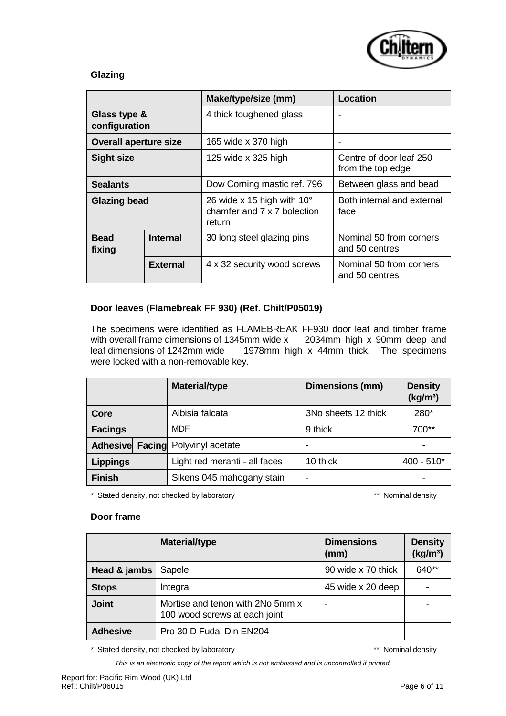

### **Glazing**

|                               |                 | Make/type/size (mm)                                                          | Location                                     |
|-------------------------------|-----------------|------------------------------------------------------------------------------|----------------------------------------------|
| Glass type &<br>configuration |                 | 4 thick toughened glass                                                      |                                              |
| <b>Overall aperture size</b>  |                 | 165 wide x 370 high                                                          |                                              |
| <b>Sight size</b>             |                 | 125 wide x 325 high                                                          | Centre of door leaf 250<br>from the top edge |
| <b>Sealants</b>               |                 | Dow Corning mastic ref. 796                                                  | Between glass and bead                       |
| <b>Glazing bead</b>           |                 | 26 wide x 15 high with $10^{\circ}$<br>chamfer and 7 x 7 bolection<br>return | Both internal and external<br>face           |
| <b>Bead</b><br>fixing         | <b>Internal</b> | 30 long steel glazing pins                                                   | Nominal 50 from corners<br>and 50 centres    |
|                               | <b>External</b> | 4 x 32 security wood screws                                                  | Nominal 50 from corners<br>and 50 centres    |

### **Door leaves (Flamebreak FF 930) (Ref. Chilt/P05019)**

The specimens were identified as FLAMEBREAK FF930 door leaf and timber frame with overall frame dimensions of 1345mm wide x 2034mm high x 90mm deep and leaf dimensions of 1242mm wide 1978mm high x 44mm thick. The specimens were locked with a non-removable key.

|                                          | <b>Material/type</b>          | Dimensions (mm)     | <b>Density</b><br>(kg/m <sup>3</sup> ) |
|------------------------------------------|-------------------------------|---------------------|----------------------------------------|
| Core                                     | Albisia falcata               | 3No sheets 12 thick | 280*                                   |
| <b>Facings</b>                           | MDF                           | 9 thick             | $700**$                                |
| <b>Adhesive Facing Polyvinyl acetate</b> |                               |                     |                                        |
| <b>Lippings</b>                          | Light red meranti - all faces | 10 thick            | $400 - 510*$                           |
| <b>Finish</b>                            | Sikens 045 mahogany stain     |                     |                                        |

\* Stated density, not checked by laboratory \*\* Nominal density

### **Door frame**

|                 | <b>Material/type</b>                                              | <b>Dimensions</b><br>(mm) | <b>Density</b><br>(kg/m <sup>3</sup> ) |
|-----------------|-------------------------------------------------------------------|---------------------------|----------------------------------------|
| Head & jambs    | Sapele                                                            | 90 wide x 70 thick        | 640**                                  |
| <b>Stops</b>    | Integral                                                          | 45 wide x 20 deep         |                                        |
| <b>Joint</b>    | Mortise and tenon with 2No 5mm x<br>100 wood screws at each joint |                           |                                        |
| <b>Adhesive</b> | Pro 30 D Fudal Din EN204                                          |                           |                                        |

\* Stated density, not checked by laboratory \*\* Nominal density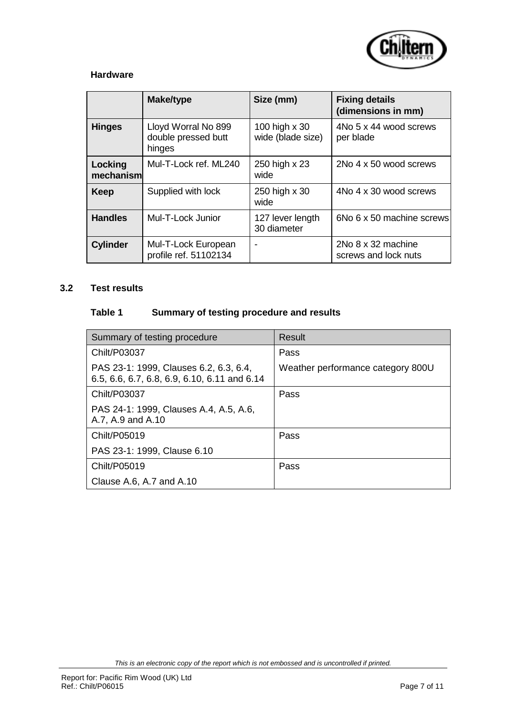

#### **Hardware**

|                      | Make/type                                            | Size (mm)                          | <b>Fixing details</b><br>(dimensions in mm) |
|----------------------|------------------------------------------------------|------------------------------------|---------------------------------------------|
| <b>Hinges</b>        | Lloyd Worral No 899<br>double pressed butt<br>hinges | 100 high x 30<br>wide (blade size) | 4No 5 x 44 wood screws<br>per blade         |
| Locking<br>mechanism | Mul-T-Lock ref. ML240                                | 250 high x 23<br>wide              | 2No 4 x 50 wood screws                      |
| Keep                 | Supplied with lock                                   | 250 high x 30<br>wide              | 4No 4 x 30 wood screws                      |
| <b>Handles</b>       | Mul-T-Lock Junior                                    | 127 lever length<br>30 diameter    | 6No 6 x 50 machine screws                   |
| <b>Cylinder</b>      | Mul-T-Lock European<br>profile ref. 51102134         | $\blacksquare$                     | 2No 8 x 32 machine<br>screws and lock nuts  |

### **3.2 Test results**

### **Table 1 Summary of testing procedure and results**

| Summary of testing procedure                                                           | Result                            |
|----------------------------------------------------------------------------------------|-----------------------------------|
| Chilt/P03037                                                                           | Pass                              |
| PAS 23-1: 1999, Clauses 6.2, 6.3, 6.4,<br>6.5, 6.6, 6.7, 6.8, 6.9, 6.10, 6.11 and 6.14 | Weather performance category 800U |
| Chilt/P03037                                                                           | Pass                              |
| PAS 24-1: 1999, Clauses A.4, A.5, A.6,<br>A.7, A.9 and A.10                            |                                   |
| Chilt/P05019                                                                           | Pass                              |
| PAS 23-1: 1999, Clause 6.10                                                            |                                   |
| Chilt/P05019                                                                           | Pass                              |
| Clause A.6, A.7 and A.10                                                               |                                   |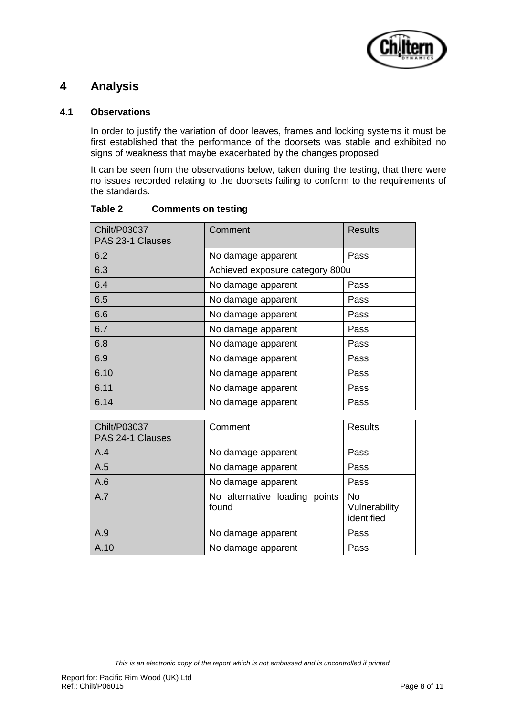

### **4 Analysis**

#### **4.1 Observations**

In order to justify the variation of door leaves, frames and locking systems it must be first established that the performance of the doorsets was stable and exhibited no signs of weakness that maybe exacerbated by the changes proposed.

It can be seen from the observations below, taken during the testing, that there were no issues recorded relating to the doorsets failing to conform to the requirements of the standards.

| Chilt/P03037<br>PAS 23-1 Clauses | Comment                         | <b>Results</b>          |
|----------------------------------|---------------------------------|-------------------------|
| 6.2                              | No damage apparent              | Pass                    |
| 6.3                              | Achieved exposure category 800u |                         |
| 6.4                              | No damage apparent              | Pass                    |
| 6.5                              | No damage apparent              | Pass                    |
| 6.6                              | No damage apparent              | Pass                    |
| 6.7                              | No damage apparent              | Pass                    |
| 6.8                              | No damage apparent              | Pass                    |
| 6.9                              | No damage apparent              | Pass                    |
| 6.10                             | No damage apparent              | Pass                    |
| 6.11                             | No damage apparent              | Pass                    |
| 6.14                             | No damage apparent              | Pass                    |
|                                  |                                 |                         |
| $C$ bilt/D02027                  | Commonnt                        | $D_{\alpha\alpha}$ ulto |

#### **Table 2 Comments on testing**

| <b>Chilt/P03037</b><br>PAS 24-1 Clauses | Comment                                | <b>Results</b>                           |
|-----------------------------------------|----------------------------------------|------------------------------------------|
| A.4                                     | No damage apparent                     | Pass                                     |
| A.5                                     | No damage apparent                     | Pass                                     |
| A.6                                     | No damage apparent                     | Pass                                     |
| A.7                                     | No alternative loading points<br>found | <b>No</b><br>Vulnerability<br>identified |
| A.9                                     | No damage apparent                     | Pass                                     |
| A.10                                    | No damage apparent                     | Pass                                     |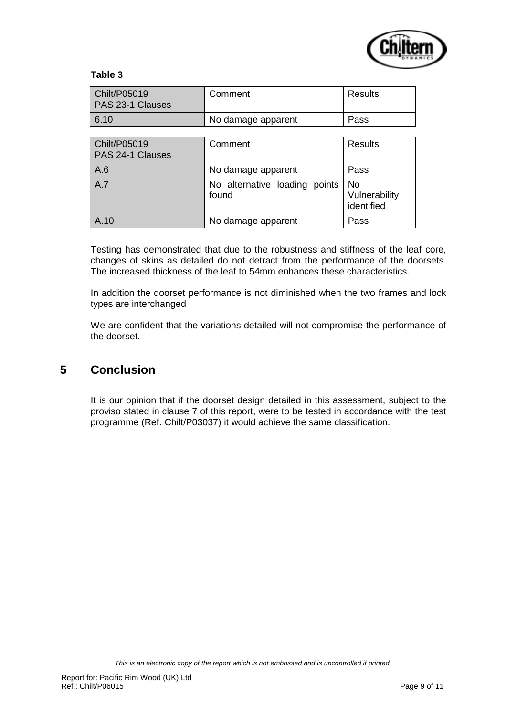

#### **Table 3**

| Chilt/P05019<br>PAS 23-1 Clauses | Comment                                | <b>Results</b>                     |
|----------------------------------|----------------------------------------|------------------------------------|
| 6.10                             | No damage apparent                     | Pass                               |
|                                  |                                        |                                    |
| Chilt/P05019<br>PAS 24-1 Clauses | Comment                                | <b>Results</b>                     |
| A.6                              | No damage apparent                     | Pass                               |
| A.7                              | No alternative loading points<br>found | No.<br>Vulnerability<br>identified |
| A.10                             | No damage apparent                     | Pass                               |

Testing has demonstrated that due to the robustness and stiffness of the leaf core, changes of skins as detailed do not detract from the performance of the doorsets. The increased thickness of the leaf to 54mm enhances these characteristics.

In addition the doorset performance is not diminished when the two frames and lock types are interchanged

We are confident that the variations detailed will not compromise the performance of the doorset.

### **5 Conclusion**

It is our opinion that if the doorset design detailed in this assessment, subject to the proviso stated in clause 7 of this report, were to be tested in accordance with the test programme (Ref. Chilt/P03037) it would achieve the same classification.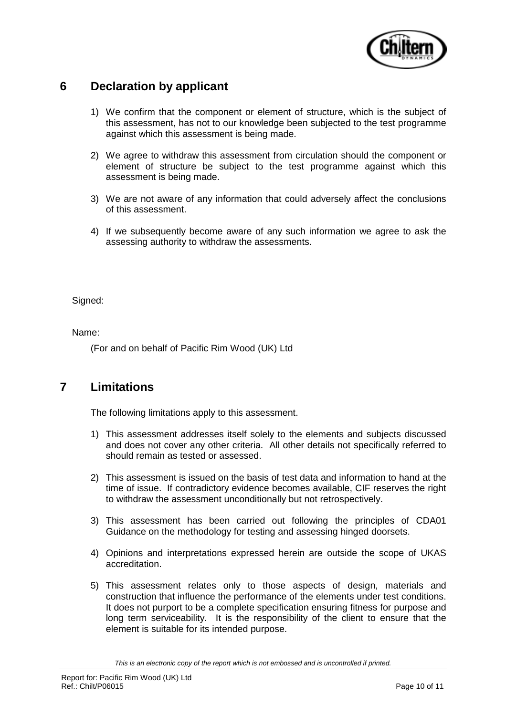

# **6 Declaration by applicant**

- 1) We confirm that the component or element of structure, which is the subject of this assessment, has not to our knowledge been subjected to the test programme against which this assessment is being made.
- 2) We agree to withdraw this assessment from circulation should the component or element of structure be subject to the test programme against which this assessment is being made.
- 3) We are not aware of any information that could adversely affect the conclusions of this assessment.
- 4) If we subsequently become aware of any such information we agree to ask the assessing authority to withdraw the assessments.

Signed:

Name:

(For and on behalf of Pacific Rim Wood (UK) Ltd

# **7 Limitations**

The following limitations apply to this assessment.

- 1) This assessment addresses itself solely to the elements and subjects discussed and does not cover any other criteria. All other details not specifically referred to should remain as tested or assessed.
- 2) This assessment is issued on the basis of test data and information to hand at the time of issue. If contradictory evidence becomes available, CIF reserves the right to withdraw the assessment unconditionally but not retrospectively.
- 3) This assessment has been carried out following the principles of CDA01 Guidance on the methodology for testing and assessing hinged doorsets.
- 4) Opinions and interpretations expressed herein are outside the scope of UKAS accreditation.
- 5) This assessment relates only to those aspects of design, materials and construction that influence the performance of the elements under test conditions. It does not purport to be a complete specification ensuring fitness for purpose and long term serviceability. It is the responsibility of the client to ensure that the element is suitable for its intended purpose.